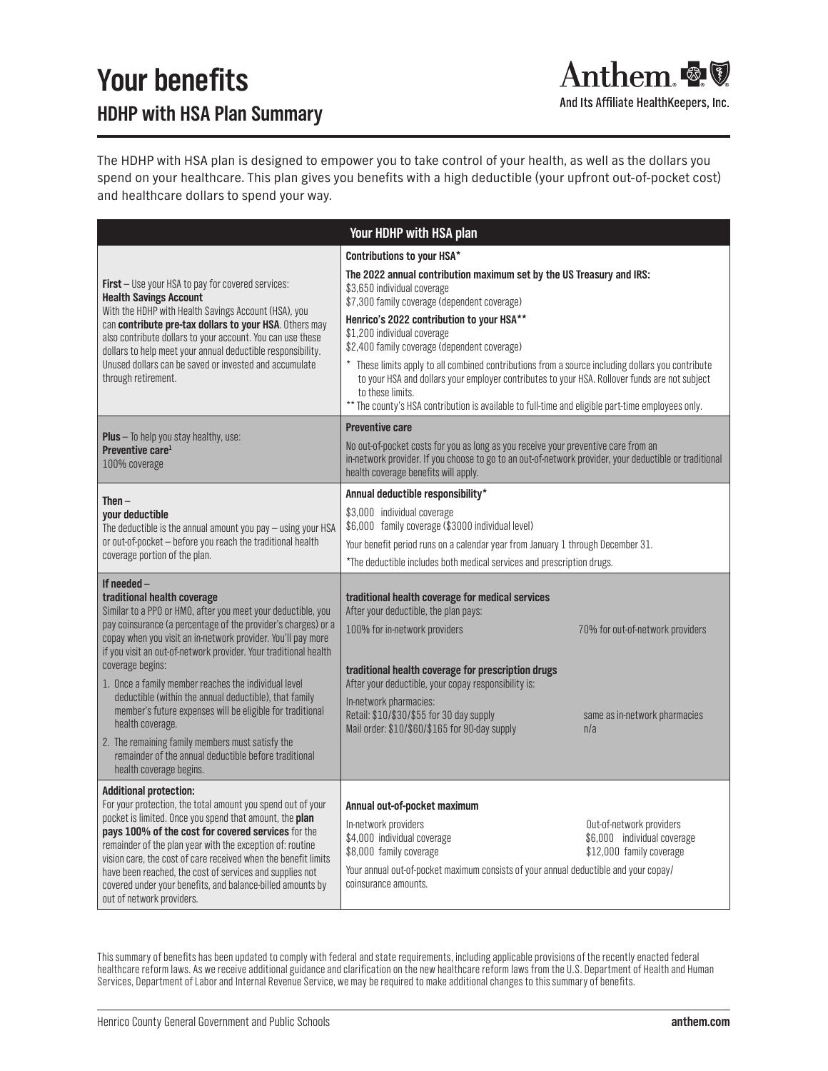## **Your benefits HDHP with HSA Plan Summary**

And Its Affiliate HealthKeepers, Inc.

The HDHP with HSA plan is designed to empower you to take control of your health, as well as the dollars you spend on your healthcare. This plan gives you benefits with a high deductible (your upfront out-of-pocket cost) and healthcare dollars to spend your way.

| Your HDHP with HSA plan                                                                                                                                                                                                                                                                                                                                                                                                                                            |                                                                                                                                                                                                                                                                                                                           |  |
|--------------------------------------------------------------------------------------------------------------------------------------------------------------------------------------------------------------------------------------------------------------------------------------------------------------------------------------------------------------------------------------------------------------------------------------------------------------------|---------------------------------------------------------------------------------------------------------------------------------------------------------------------------------------------------------------------------------------------------------------------------------------------------------------------------|--|
|                                                                                                                                                                                                                                                                                                                                                                                                                                                                    | Contributions to your HSA*                                                                                                                                                                                                                                                                                                |  |
| <b>First</b> – Use your HSA to pay for covered services:<br><b>Health Savings Account</b><br>With the HDHP with Health Savings Account (HSA), you<br>can contribute pre-tax dollars to your HSA. Others may<br>also contribute dollars to your account. You can use these<br>dollars to help meet your annual deductible responsibility.<br>Unused dollars can be saved or invested and accumulate<br>through retirement.                                          | The 2022 annual contribution maximum set by the US Treasury and IRS:<br>\$3,650 individual coverage<br>\$7,300 family coverage (dependent coverage)                                                                                                                                                                       |  |
|                                                                                                                                                                                                                                                                                                                                                                                                                                                                    | Henrico's 2022 contribution to your HSA**<br>\$1,200 individual coverage<br>\$2,400 family coverage (dependent coverage)                                                                                                                                                                                                  |  |
|                                                                                                                                                                                                                                                                                                                                                                                                                                                                    | These limits apply to all combined contributions from a source including dollars you contribute<br>to your HSA and dollars your employer contributes to your HSA. Rollover funds are not subject<br>to these limits.<br>** The county's HSA contribution is available to full-time and eligible part-time employees only. |  |
|                                                                                                                                                                                                                                                                                                                                                                                                                                                                    | <b>Preventive care</b>                                                                                                                                                                                                                                                                                                    |  |
| <b>Plus</b> $-$ To help you stay healthy, use:<br>Preventive care <sup>1</sup><br>100% coverage                                                                                                                                                                                                                                                                                                                                                                    | No out-of-pocket costs for you as long as you receive your preventive care from an<br>in-network provider. If you choose to go to an out-of-network provider, your deductible or traditional<br>health coverage benefits will apply.                                                                                      |  |
| Then $-$                                                                                                                                                                                                                                                                                                                                                                                                                                                           | Annual deductible responsibility*                                                                                                                                                                                                                                                                                         |  |
| your deductible<br>The deductible is the annual amount you pay - using your HSA<br>or out-of-pocket - before you reach the traditional health<br>coverage portion of the plan.                                                                                                                                                                                                                                                                                     | \$3,000 individual coverage<br>\$6,000 family coverage (\$3000 individual level)                                                                                                                                                                                                                                          |  |
|                                                                                                                                                                                                                                                                                                                                                                                                                                                                    | Your benefit period runs on a calendar year from January 1 through December 31.                                                                                                                                                                                                                                           |  |
|                                                                                                                                                                                                                                                                                                                                                                                                                                                                    | *The deductible includes both medical services and prescription drugs.                                                                                                                                                                                                                                                    |  |
| If needed $-$<br>traditional health coverage<br>Similar to a PPO or HMO, after you meet your deductible, you<br>pay coinsurance (a percentage of the provider's charges) or a<br>copay when you visit an in-network provider. You'll pay more                                                                                                                                                                                                                      | traditional health coverage for medical services<br>After your deductible, the plan pays:<br>100% for in-network providers<br>70% for out-of-network providers                                                                                                                                                            |  |
| if you visit an out-of-network provider. Your traditional health<br>coverage begins:                                                                                                                                                                                                                                                                                                                                                                               | traditional health coverage for prescription drugs                                                                                                                                                                                                                                                                        |  |
| 1. Once a family member reaches the individual level                                                                                                                                                                                                                                                                                                                                                                                                               | After your deductible, your copay responsibility is:                                                                                                                                                                                                                                                                      |  |
| deductible (within the annual deductible), that family<br>member's future expenses will be eligible for traditional<br>health coverage.                                                                                                                                                                                                                                                                                                                            | In-network pharmacies:<br>Retail: \$10/\$30/\$55 for 30 day supply<br>same as in-network pharmacies<br>Mail order: \$10/\$60/\$165 for 90-day supply<br>n/a                                                                                                                                                               |  |
| 2. The remaining family members must satisfy the<br>remainder of the annual deductible before traditional<br>health coverage begins.                                                                                                                                                                                                                                                                                                                               |                                                                                                                                                                                                                                                                                                                           |  |
| <b>Additional protection:</b>                                                                                                                                                                                                                                                                                                                                                                                                                                      |                                                                                                                                                                                                                                                                                                                           |  |
| For your protection, the total amount you spend out of your<br>pocket is limited. Once you spend that amount, the plan<br>pays 100% of the cost for covered services for the<br>remainder of the plan year with the exception of: routine<br>vision care, the cost of care received when the benefit limits<br>have been reached, the cost of services and supplies not<br>covered under your benefits, and balance-billed amounts by<br>out of network providers. | Annual out-of-pocket maximum                                                                                                                                                                                                                                                                                              |  |
|                                                                                                                                                                                                                                                                                                                                                                                                                                                                    | In-network providers<br>Out-of-network providers<br>\$4,000 individual coverage<br>\$6,000 individual coverage<br>\$8,000 family coverage<br>\$12,000 family coverage                                                                                                                                                     |  |
|                                                                                                                                                                                                                                                                                                                                                                                                                                                                    | Your annual out-of-pocket maximum consists of your annual deductible and your copay/<br>coinsurance amounts.                                                                                                                                                                                                              |  |

This summary of benefits has been updated to comply with federal and state requirements, including applicable provisions of the recently enacted federal healthcare reform laws. As we receive additional guidance and clarification on the new healthcare reform laws from the U.S. Department of Health and Human Services, Department of Labor and Internal Revenue Service, we may be required to make additional changes to this summary of benefits.